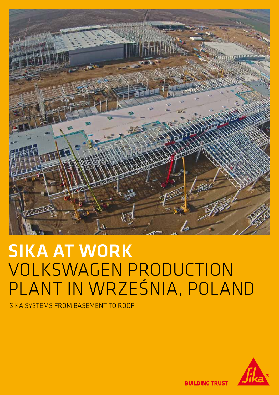

# SIKA AT WORK VOLKSWAGEN PRODUCTION PLANT IN WRZEŚNIA, POLAND

SIKA SYSTEMS FROM BASEMENT TO ROOF



**BUILDING TRUST**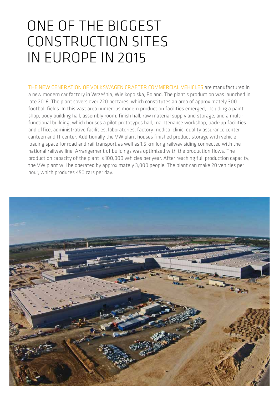# ONE OF THE BIGGEST CONSTRUCTION SITES IN EUROPE IN 2015

THE NEW GENERATION OF VOLKSWAGEN CRAFTER COMMERCIAL VEHICLES are manufactured in a new modern car factory in Września, Wielkopolska, Poland. The plant's production was launched in late 2016. The plant covers over 220 hectares, which constitutes an area of approximately 300 football fields. In this vast area numerous modern production facilities emerged, including a paint shop, body building hall, assembly room, finish hall, raw material supply and storage, and a multifunctional building, which houses a pilot prototypes hall, maintenance workshop, back-up facilities and office, administrative facilities, laboratories, factory medical clinic, quality assurance center, canteen and IT center. Additionally the VW plant houses finished product storage with vehicle loading space for road and rail transport as well as 1.5 km long railway siding connected with the national railway line. Arrangement of buildings was optimized with the production flows. The production capacity of the plant is 100,000 vehicles per year. After reaching full production capacity, the VW plant will be operated by approximately 3,000 people. The plant can make 20 vehicles per hour, which produces 450 cars per day.

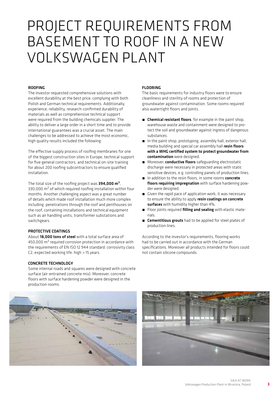# PROJECT REQUIREMENTS FROM BASEMENT TO ROOF IN A NEW VOLKSWAGEN PLANT

#### ROOFING

The investor requested comprehensive solutions with excellent durability at the best price, complying with both Polish and German technical requirements. Additionally, experience, reliability, research-confirmed durability of materials as well as comprehensive technical support were required from the building chemicals supplier. The ability to deliver a large order in a short time and to provide international guarantees was a crucial asset. The main challenges to be addressed to achieve the most economic, high quality results included the following:

The effective supply process of roofing membranes for one of the biggest construction sites in Europe, technical support for five general contractors, and technical on-site training for about 200 roofing subcontractors to ensure qualified installation.

The total size of the roofing project was 394,000 m<sup>2</sup>, 330,000 m<sup>2</sup> of which required roofing installation within four months. Another challenging aspect was a great number of details which made roof installation much more complex including: penetrations through the roof and penthouses on the roof, containing installations and technical equipment such as air handling units, transformer substations and switchgears.

### PROTECTIVE COATINGS

About 18,000 tons of steel with a total surface area of 450,000 m² required corrosion protection in accordance with the requirements of EN ISO 12 944 standard: corrosivity class C2, expected working life: high > 15 years.

#### CONCRETE TECHNOLOGY

Some internal roads and squares were designed with concrete surface (air-entrained concrete mix). Moreover, concrete floors with surface hardening powder were designed in the production rooms.

#### FLOORING

The basic requirements for industry floors were to ensure cleanliness and sterility of rooms and protection of groundwater against contamination. Some rooms required also watertight floors and joints.

- **E** Chemical resistant floors, for example in the paint shop, warehouse waste and containment were designed to protect the soil and groundwater against ingress of dangerous substances.
- $\blacksquare$  In the paint shop, prototyping, assembly hall, exterior hall, media building and special car assembly hall resin floors with a WHG certified system to protect groundwater from contamination were designed.
- **E** Moreover, conductive floors safeguarding electrostatic discharge were necessary in protected areas with static sensitive devices, e.g. controlling panels of production lines.
- $\blacksquare$  In addition to the resin floors, in some rooms **concrete** floors requiring impregnation with surface hardening powder were designed.
- **E** Given the rapid pace of application work, it was necessary to ensure the ability to apply resin coatings on concrete surfaces with humidity higher than 4%.
- **E** Floor joints required **filling and sealing** with elastic materials.
- **E** Cementitious grouts had to be applied for steel plates of production lines.

According to the investor's requirements, flooring works had to be carried out in accordance with the German specifications. Moreover all products intended for floors could not contain silicone compounds.



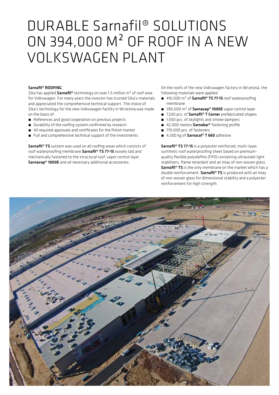## DURABLE Sarnafil® SOLUTIONS ON 394,000 M² OF ROOF IN A NEW VOLKSWAGEN PLANT

#### Sarnafil® ROOFING

Sika has applied **Sarnafil<sup>®</sup>** technology on over 1.5 million m<sup>2</sup> of roof area for Volkswagen. For many years the investor has trusted Sika's materials and appreciated the comprehensive technical support. The choice of Sika's technology for the new Volkswagen facility in Września was made on the basis of:

- References and good cooperation on previous projects
- Durability of the roofing system confirmed by research
- All required approvals and certificates for the Polish market
- Full and comprehensive technical support of the investments

Sarnafil<sup>®</sup> TS system was used on all roofing areas which consists of roof waterproofing membrane Sarnafil® TS 77-15 loosely laid and mechanically fastened to the structural roof, vapor control layer Sarnavap® 1000E and all necessary additional accessories.

On the roofs of the new Volkswagen factory in Września, the following materials were applied:

- 410,000 m<sup>2</sup> of Sarnafil® TS 77-15 roof waterproofing membrane
- $\blacksquare$  390,000 m<sup>2</sup> of **Sarnavap® 1000E** vapor control layer
- 7,200 pcs. of Sarnafil® T Corner prefabricated shapes
- 1,500 pcs. of skylights and smoke dampers
- 42,000 meters Sarnabar® fastening profile
- 770,000 pcs. of fasteners
- 4,300 kg of Sarnacol® T 660 adhesive

Sarnafil<sup>®</sup> TS 77-15 is a polyester reinforced, multi-layer, synthetic roof waterproofing sheet based on premiumquality flexible polyolefins (FPO) containing ultraviolet light stabilizers, flame retardant and an inlay of non-woven glass. Sarnafil<sup>®</sup> TS is the only membrane on the market which has a double reinforcement. Sarnafil® TS is produced with an inlay of non-woven glass for dimensional stability and a polyester reinforcement for high strength.

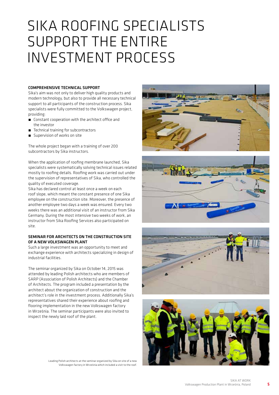## SIKA ROOFING SPECIALISTS SUPPORT THE ENTIRE INVESTMENT PROCESS

#### COMPREHENSIVE TECHNICAL SUPPORT

Sika's aim was not only to deliver high quality products and modern technology, but also to provide all necessary technical support to all participants of the construction process. Sika specialists were fully committed to the Volkswagen project, providing:

- Constant cooperation with the architect office and the investor
- ́ Technical training for subcontractors
- Supervision of works on site

The whole project began with a training of over 200 subcontractors by Sika instructors.

When the application of roofing membrane launched, Sika specialists were systematically solving technical issues related mostly to roofing details. Roofing work was carried out under the supervision of representatives of Sika, who controlled the quality of executed coverage.

Sika has declared control at least once a week on each roof slope, which meant the constant presence of one Sika employee on the construction site. Moreover, the presence of another employee two days a week was ensured. Every two weeks there was an additional visit of an instructor from Sika Germany. During the most intensive two weeks of work, an instructor from Sika Roofing Services also participated on site.

### SEMINAR FOR ARCHITECTS ON THE CONSTRUCTION SITE OF A NEW VOLKSWAGEN PLANT

Such a large investment was an opportunity to meet and exchange experience with architects specializing in design of industrial facilities.

The seminar organized by Sika on October 14, 2015 was attended by leading Polish architects who are members of SARP (Association of Polish Architects) and the Chamber of Architects. The program included a presentation by the architect about the organization of construction and the architect's role in the investment process. Additionally Sika's representatives shared their experience about roofing and flooring implementation in the new Volkswagen factory in Września. The seminar participants were also invited to inspect the newly laid roof of the plant.

> Leading Polish architects at the seminar organized by Sika on site of a new Volkswagen factory in Września which included a visit to the roof.







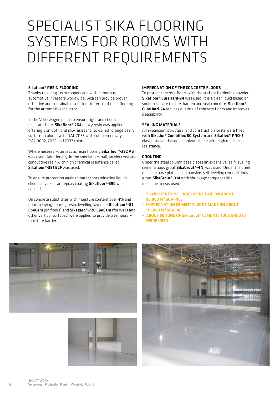# SPECIALIST SIKA FLOORING SYSTEMS FOR ROOMS WITH DIFFERENT REQUIREMENTS

#### Sikafloor® RESIN FLOORING

Thanks to a long-term cooperation with numerous automotive investors worldwide, Sika can provide proven, effective and sustainable solutions in terms of resin flooring for the automotive industry.

In the Volkswagen plant to ensure tight and chemical resistant floor, Sikafloor®-264 epoxy resin was applied offering a smooth and slip-resistant, so-called "orange peel", surface – colored with RAL 7035 with complementary RAL 9002, 7036 and 7037 colors.

Where necessary, antistatic resin flooring Sikafloor®-262 AS was used. Additionally, in the special cars hall, an electrostatic conductive resin with high chemical resistance called Sikafloor®-381 ECF was used.

To ensure protection against water contaminating liquids, chemically resistant epoxy coating Sikafloor®-390 was applied.

On concrete substrates with moisture content over 4% and prior to laying flooring resin, levelling layers of Sikafloor<sup>®</sup>-81 EpoCem (on floors) and Sikagard®-720 EpoCem (for walls and other vertical surfaces) were applied to provide a temporary moisture barrier.

#### IMPREGNATION OF THE CONCRETE FLOORS

To protect concrete floors with the surface hardening powder, Sikafloor® CureHard-24 was used. It is a clear liquid based on sodium silicate to cure, harden and seal concrete. Sikafloor® CureHard-24 reduces dusting of concrete floors and improves cleanability.

#### SEALING MATERIALS

All expansion, structural and construction joints were filled with Sikadur® Combiflex SG System and Sikaflex® PRO-3 elastic sealant based on polyurethane with high mechanical resistance.

#### GROUTING

Under the steel column base plates an expansive, self-leveling cementitious grout **SikaGrout®-4N** was used. Under the steel machine base plates an expansive, self-leveling cementitious grout SikaGrout®-314 with shrinkage compensating mechanism was used.

- Sikafloor® RESIN FLOORS WERE LAID ON ABOUT 90,000 M² SURFACE
- IMPREGNATION CEMENT FLOORS MADE ON ABOUT 110,000 M² SURFACE
- ABOUT 60 TONS OF SikaGrout® CEMENTITIOUS GROUTS WERE USED





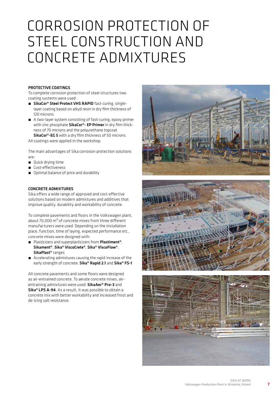# CORROSION PROTECTION OF STEEL CONSTRUCTION AND CONCRETE ADMIXTURES

#### PROTECTIVE COATINGS

To complete corrosion protection of steel structures two coating systems were used:

- SikaCor® Steel Protect VHS RAPID fast-curing, singlelayer coating based on alkyd resin in dry film thickness of 120 microns
- A two-layer system consisting of fast-curing, epoxy primer with zinc phosphate SikaCor®- EP Primer in dry film thickness of 70 microns and the polyurethane topcoat SikaCor®-EG 5 with a dry film thickness of 50 microns.

All coatings were applied in the workshop.

The main advantages of Sika corrosion protection solutions are:

- Quick drying time
- Cost-effectiveness
- **n** Optimal balance of price and durability

### CONCRETE ADMIXTURES

Sika offers a wide range of approved and cost-effective solutions based on modern admixtures and additives that improve quality, durability and workability of concrete.

To complete pavements and floors in the Volkswagen plant, about 70,000  $m<sup>3</sup>$  of concrete mixes from three different manufacturers were used. Depending on the installation place, function, time of laying, expected performance etc., concrete mixes were designed with:

- Plasticizers and superplasticizers from Plastiment<sup>®</sup>, Sikament®, Sika® ViscoCrete®, Sika® ViscoFlow®, SikaPlast® ranges
- Accelerating admixtures causing the rapid increase of the early strength of concrete: Sika® Rapid 2.1 and Sika® FS-1

All concrete pavements and some floors were designed as air-entrained concrete. To aerate concrete mixes, airentraining admixtures were used: SikaAer® Pro-3 and Sika® LPS A-94. As a result, it was possible to obtain a concrete mix with better workability and increased frost and de-icing salt resistance.